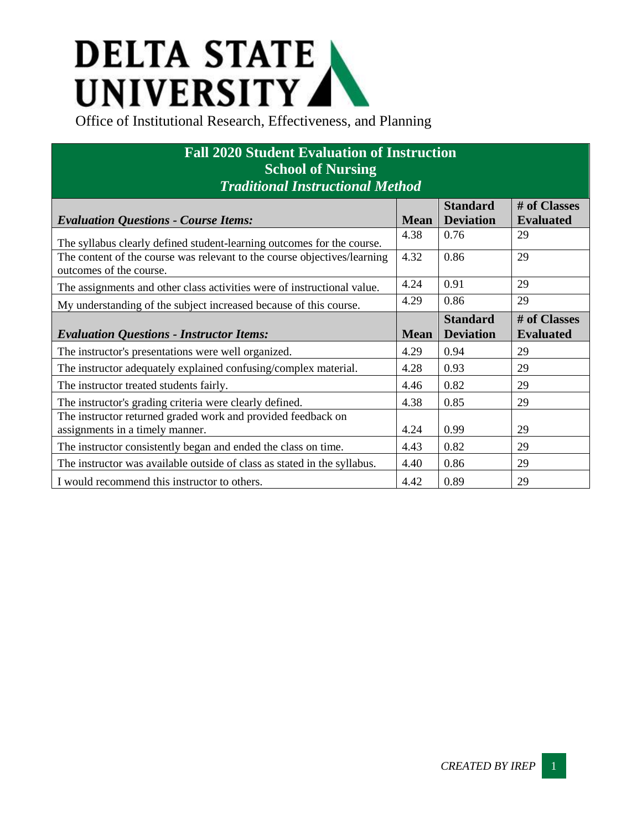## **DELTA STATE<br>UNIVERSITY**<br>Office of Institutional Research, Effectiveness, and Planning

| <b>Fall 2020 Student Evaluation of Instruction</b><br><b>School of Nursing</b><br><b>Traditional Instructional Method</b> |             |                                     |                                  |  |  |
|---------------------------------------------------------------------------------------------------------------------------|-------------|-------------------------------------|----------------------------------|--|--|
| <b>Evaluation Questions - Course Items:</b>                                                                               | <b>Mean</b> | <b>Standard</b><br><b>Deviation</b> | # of Classes<br><b>Evaluated</b> |  |  |
| The syllabus clearly defined student-learning outcomes for the course.                                                    | 4.38        | 0.76                                | 29                               |  |  |
| The content of the course was relevant to the course objectives/learning<br>outcomes of the course.                       | 4.32        | 0.86                                | 29                               |  |  |
| The assignments and other class activities were of instructional value.                                                   | 4.24        | 0.91                                | 29                               |  |  |
| My understanding of the subject increased because of this course.                                                         | 4.29        | 0.86                                | 29                               |  |  |
| <b>Evaluation Questions - Instructor Items:</b>                                                                           | <b>Mean</b> | <b>Standard</b><br><b>Deviation</b> | # of Classes<br><b>Evaluated</b> |  |  |
| The instructor's presentations were well organized.                                                                       | 4.29        | 0.94                                | 29                               |  |  |
| The instructor adequately explained confusing/complex material.                                                           | 4.28        | 0.93                                | 29                               |  |  |
| The instructor treated students fairly.                                                                                   | 4.46        | 0.82                                | 29                               |  |  |
| The instructor's grading criteria were clearly defined.                                                                   | 4.38        | 0.85                                | 29                               |  |  |
| The instructor returned graded work and provided feedback on<br>assignments in a timely manner.                           | 4.24        | 0.99                                | 29                               |  |  |
| The instructor consistently began and ended the class on time.                                                            | 4.43        | 0.82                                | 29                               |  |  |
| The instructor was available outside of class as stated in the syllabus.                                                  | 4.40        | 0.86                                | 29                               |  |  |
| I would recommend this instructor to others.                                                                              | 4.42        | 0.89                                | 29                               |  |  |